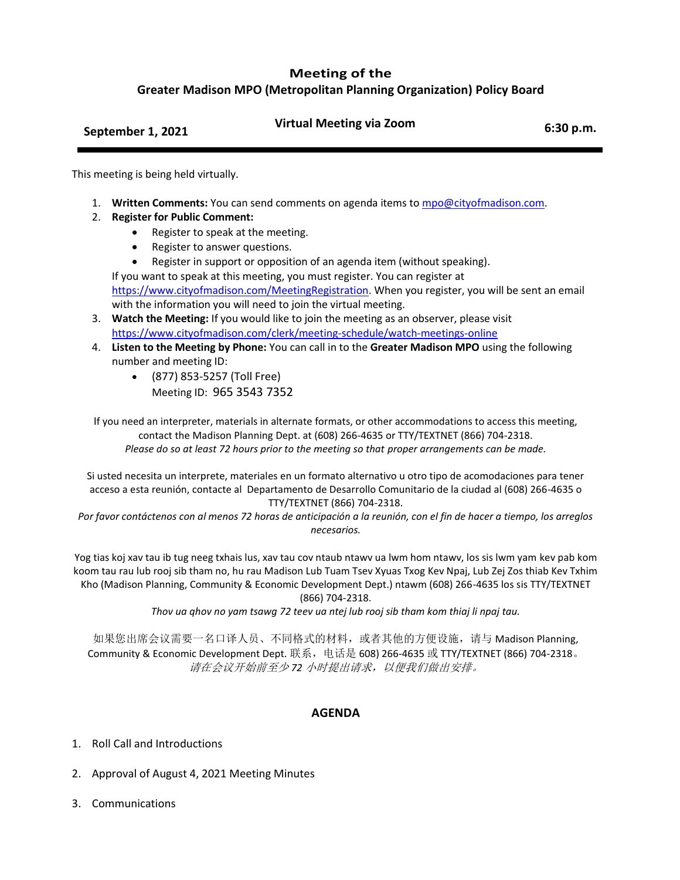## **Meeting of the**

**Greater Madison MPO (Metropolitan Planning Organization) Policy Board**

| September 1, 2021 | <b>Virtual Meeting via Zoom</b> | 6:30 p.m. |
|-------------------|---------------------------------|-----------|
|                   |                                 |           |

This meeting is being held virtually.

- 1. **Written Comments:** You can send comments on agenda items to [mpo@cityofmadison.com.](mailto:mpo@cityofmadison.com)
- 2. **Register for Public Comment:**
	- Register to speak at the meeting.
	- Register to answer questions.
	- Register in support or opposition of an agenda item (without speaking).

If you want to speak at this meeting, you must register. You can register at [https://www.cityofmadison.com/MeetingRegistration.](https://www.cityofmadison.com/MeetingRegistration) When you register, you will be sent an email with the information you will need to join the virtual meeting.

- 3. **Watch the Meeting:** If you would like to join the meeting as an observer, please visit <https://www.cityofmadison.com/clerk/meeting-schedule/watch-meetings-online>
- 4. **Listen to the Meeting by Phone:** You can call in to the **Greater Madison MPO** using the following number and meeting ID:
	- (877) 853-5257 (Toll Free) Meeting ID: 965 3543 7352

If you need an interpreter, materials in alternate formats, or other accommodations to access this meeting, contact the Madison Planning Dept. at (608) 266-4635 or TTY/TEXTNET (866) 704-2318. *Please do so at least 72 hours prior to the meeting so that proper arrangements can be made.*

Si usted necesita un interprete, materiales en un formato alternativo u otro tipo de acomodaciones para tener acceso a esta reunión, contacte al Departamento de Desarrollo Comunitario de la ciudad al (608) 266-4635 o TTY/TEXTNET (866) 704-2318.

*Por favor contáctenos con al menos 72 horas de anticipación a la reunión, con el fin de hacer a tiempo, los arreglos necesarios.*

Yog tias koj xav tau ib tug neeg txhais lus, xav tau cov ntaub ntawv ua lwm hom ntawv, los sis lwm yam kev pab kom koom tau rau lub rooj sib tham no, hu rau Madison Lub Tuam Tsev Xyuas Txog Kev Npaj, Lub Zej Zos thiab Kev Txhim Kho (Madison Planning, Community & Economic Development Dept.) ntawm (608) 266-4635 los sis TTY/TEXTNET (866) 704-2318.

*Thov ua qhov no yam tsawg 72 teev ua ntej lub rooj sib tham kom thiaj li npaj tau.*

如果您出席会议需要一名口译人员、不同格式的材料,或者其他的方便设施,请与 Madison Planning, Community & Economic Development Dept. 联系,电话是 608) 266-4635 或 TTY/TEXTNET (866) 704-2318。 请在会议开始前至少 *72* 小时提出请求,以便我们做出安排。

## **AGENDA**

- 1. Roll Call and Introductions
- 2. Approval of August 4, 2021 Meeting Minutes
- 3. Communications